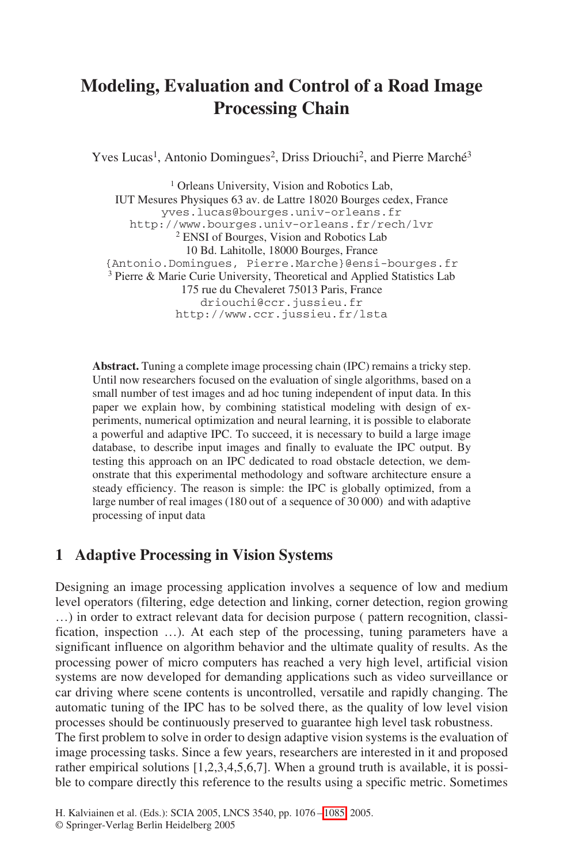# **Modeling, Evaluation and Control of a Road Image Processing Chain**

Yves Lucas<sup>1</sup>, Antonio Domingues<sup>2</sup>, Driss Driouchi<sup>2</sup>, and Pierre Marché<sup>3</sup>

<sup>1</sup> Orleans University, Vision and Robotics Lab, IUT Mesures Physiques 63 av. de Lattre 18020 Bourges cedex, France yves.lucas@bourges.univ-orleans.fr http://www.bourges.univ-orleans.fr/rech/lvr 2 ENSI of Bourges, Vision and Robotics Lab 10 Bd. Lahitolle, 18000 Bourges, France {Antonio.Domingues, Pierre.Marche}@ensi-bourges.fr 3 Pierre & Marie Curie University, Theoretical and Applied Statistics Lab 175 rue du Chevaleret 75013 Paris, France driouchi@ccr.jussieu.fr http://www.ccr.jussieu.fr/lsta

**Abstract.** Tuning a complete image processing chain (IPC) remains a tricky step. Until now researchers focused on the evaluation of single algorithms, based on a small number of test images and ad hoc tuning independent of input data. In this paper we explain how, by combining statistical modeling with design of experiments, numerical optimization and neural learning, it is possible to elaborate a powerful and adaptive IPC. To succeed, it is necessary to build a large image database, to describe input images and finally to evaluate the IPC output. By testing this approach on an IPC dedicated to road obstacle detection, we demonstrate that this experimental methodology and software architecture ensure a steady efficiency. The reason is simple: the IPC is globally optimized, from a large number of real images (180 out of a sequence of 30 000) and with adaptive processing of input data

### **1 Adaptive Processing in Vision Systems**

Designing an image processing application involves a sequence of low and medium level operators (filtering, edge detection and linking, corner detection, region growing …) in order to extract relevant data for decision purpose ( pattern recognition, classification, inspection …). At each step of the processing, tuning parameters have a significant influence on algorithm behavior and the ultimate quality of results. As the processing power of micro computers has reached a very high level, artificial vision systems are now developed for demanding applications such as video surveillance or car driving where scene contents is uncontrolled, versatile and rapidly changing. The automatic tuning of the IPC has to be solved there, as the quality of low level vision processes should be continuously preserved to guarantee high level task robustness.

The first problem to solve in order to design adaptive vision systems is the evaluation of image processing tasks. Since a few years, researchers are interested in it and proposed rather empirical solutions [1,2,3,4,5,6,7]. When a ground truth is available, it is possible to compare directly this reference to the results using a specific metric. Sometimes

<sup>©</sup> Springer-Verlag Berlin Heidelberg 2005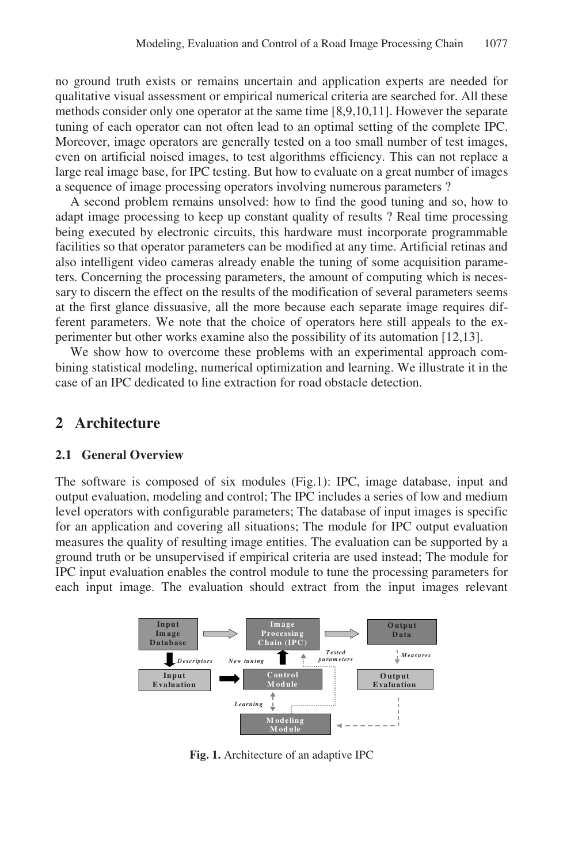no ground truth exists or remains uncertain and application experts are needed for qualitative visual assessment or empirical numerical criteria are searched for. All these methods consider only one operator at the same time [8,9,10,11]. However the separate tuning of each operator can not often lead to an optimal setting of the complete IPC. Moreover, image operators are generally tested on a too small number of test images, even on artificial noised images, to test algorithms efficiency. This can not replace a large real image base, for IPC testing. But how to evaluate on a great number of images a sequence of image processing operators involving numerous parameters ?

A second problem remains unsolved: how to find the good tuning and so, how to adapt image processing to keep up constant quality of results ? Real time processing being executed by electronic circuits, this hardware must incorporate programmable facilities so that operator parameters can be modified at any time. Artificial retinas and also intelligent video cameras already enable the tuning of some acquisition parameters. Concerning the processing parameters, the amount of computing which is necessary to discern the effect on the results of the modification of several parameters seems at the first glance dissuasive, all the more because each separate image requires different parameters. We note that the choice of operators here still appeals to the experimenter but other works examine also the possibility of its automation [12,13].

We show how to overcome these problems with an experimental approach combining statistical modeling, numerical optimization and learning. We illustrate it in the case of an IPC dedicated to line extraction for road obstacle detection.

### **2 Architecture**

#### **2.1 General Overview**

The software is composed of six modules (Fig.1): IPC, image database, input and output evaluation, modeling and control; The IPC includes a series of low and medium level operators with configurable parameters; The database of input images is specific for an application and covering all situations; The module for IPC output evaluation measures the quality of resulting image entities. The evaluation can be supported by a ground truth or be unsupervised if empirical criteria are used instead; The module for IPC input evaluation enables the control module to tune the processing parameters for each input image. The evaluation should extract from the input images relevant



**Fig. 1.** Architecture of an adaptive IPC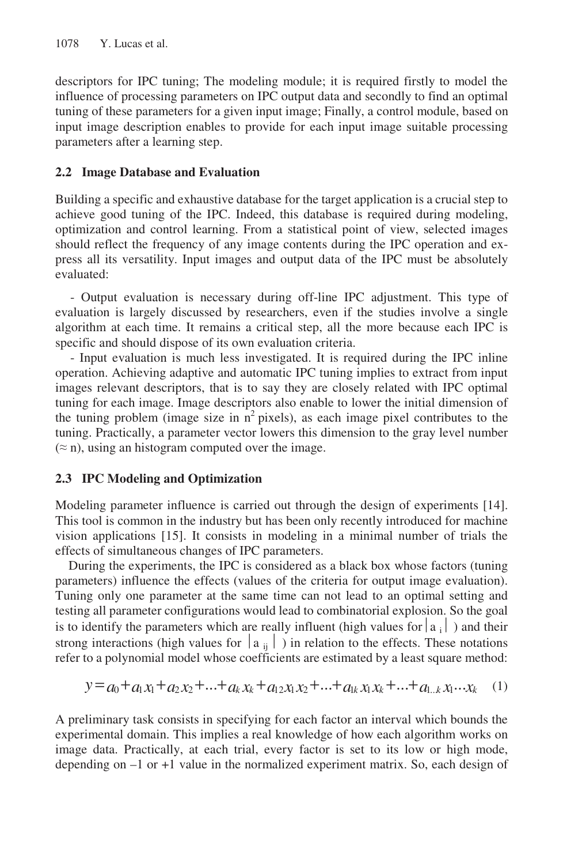descriptors for IPC tuning; The modeling module; it is required firstly to model the influence of processing parameters on IPC output data and secondly to find an optimal tuning of these parameters for a given input image; Finally, a control module, based on input image description enables to provide for each input image suitable processing parameters after a learning step.

#### **2.2 Image Database and Evaluation**

Building a specific and exhaustive database for the target application is a crucial step to achieve good tuning of the IPC. Indeed, this database is required during modeling, optimization and control learning. From a statistical point of view, selected images should reflect the frequency of any image contents during the IPC operation and express all its versatility. Input images and output data of the IPC must be absolutely evaluated:

- Output evaluation is necessary during off-line IPC adjustment. This type of evaluation is largely discussed by researchers, even if the studies involve a single algorithm at each time. It remains a critical step, all the more because each IPC is specific and should dispose of its own evaluation criteria.

- Input evaluation is much less investigated. It is required during the IPC inline operation. Achieving adaptive and automatic IPC tuning implies to extract from input images relevant descriptors, that is to say they are closely related with IPC optimal tuning for each image. Image descriptors also enable to lower the initial dimension of the tuning problem (image size in  $n^2$  pixels), as each image pixel contributes to the tuning. Practically, a parameter vector lowers this dimension to the gray level number  $(\approx n)$ , using an histogram computed over the image.

### **2.3 IPC Modeling and Optimization**

Modeling parameter influence is carried out through the design of experiments [14]. This tool is common in the industry but has been only recently introduced for machine vision applications [15]. It consists in modeling in a minimal number of trials the effects of simultaneous changes of IPC parameters.

 During the experiments, the IPC is considered as a black box whose factors (tuning parameters) influence the effects (values of the criteria for output image evaluation). Tuning only one parameter at the same time can not lead to an optimal setting and testing all parameter configurations would lead to combinatorial explosion. So the goal is to identify the parameters which are really influent (high values for  $|a_i|$ ) and their strong interactions (high values for  $|\mathbf{a}_{ii}|$ ) in relation to the effects. These notations refer to a polynomial model whose coefficients are estimated by a least square method:

$$
y = a_0 + a_1 x_1 + a_2 x_2 + \dots + a_k x_k + a_{12} x_1 x_2 + \dots + a_{1k} x_1 x_k + \dots + a_{1\ldots k} x_1 \dots x_k \tag{1}
$$

A preliminary task consists in specifying for each factor an interval which bounds the experimental domain. This implies a real knowledge of how each algorithm works on image data. Practically, at each trial, every factor is set to its low or high mode, depending on –1 or +1 value in the normalized experiment matrix. So, each design of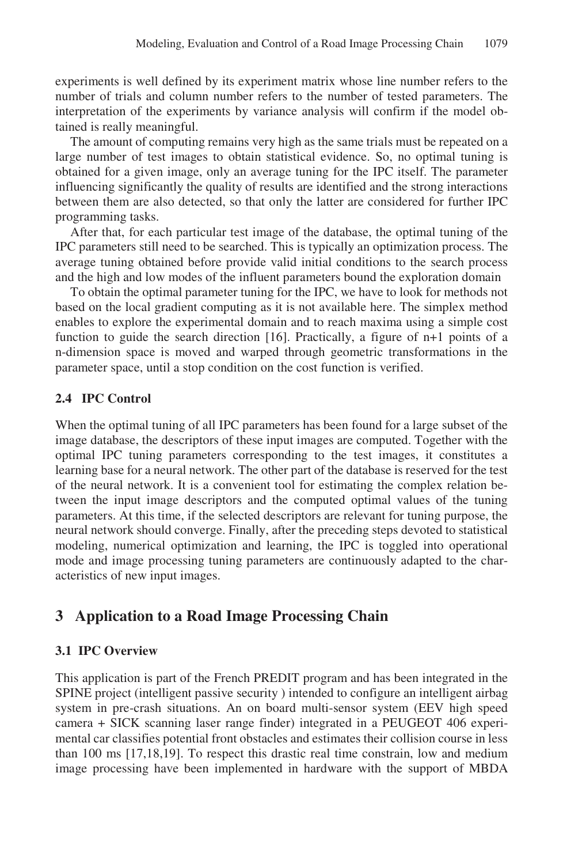experiments is well defined by its experiment matrix whose line number refers to the number of trials and column number refers to the number of tested parameters. The interpretation of the experiments by variance analysis will confirm if the model obtained is really meaningful.

The amount of computing remains very high as the same trials must be repeated on a large number of test images to obtain statistical evidence. So, no optimal tuning is obtained for a given image, only an average tuning for the IPC itself. The parameter influencing significantly the quality of results are identified and the strong interactions between them are also detected, so that only the latter are considered for further IPC programming tasks.

After that, for each particular test image of the database, the optimal tuning of the IPC parameters still need to be searched. This is typically an optimization process. The average tuning obtained before provide valid initial conditions to the search process and the high and low modes of the influent parameters bound the exploration domain

To obtain the optimal parameter tuning for the IPC, we have to look for methods not based on the local gradient computing as it is not available here. The simplex method enables to explore the experimental domain and to reach maxima using a simple cost function to guide the search direction [16]. Practically, a figure of n+1 points of a n-dimension space is moved and warped through geometric transformations in the parameter space, until a stop condition on the cost function is verified.

#### **2.4 IPC Control**

When the optimal tuning of all IPC parameters has been found for a large subset of the image database, the descriptors of these input images are computed. Together with the optimal IPC tuning parameters corresponding to the test images, it constitutes a learning base for a neural network. The other part of the database is reserved for the test of the neural network. It is a convenient tool for estimating the complex relation between the input image descriptors and the computed optimal values of the tuning parameters. At this time, if the selected descriptors are relevant for tuning purpose, the neural network should converge. Finally, after the preceding steps devoted to statistical modeling, numerical optimization and learning, the IPC is toggled into operational mode and image processing tuning parameters are continuously adapted to the characteristics of new input images.

# **3 Application to a Road Image Processing Chain**

#### **3.1 IPC Overview**

This application is part of the French PREDIT program and has been integrated in the SPINE project (intelligent passive security ) intended to configure an intelligent airbag system in pre-crash situations. An on board multi-sensor system (EEV high speed camera + SICK scanning laser range finder) integrated in a PEUGEOT 406 experimental car classifies potential front obstacles and estimates their collision course in less than 100 ms [17,18,19]. To respect this drastic real time constrain, low and medium image processing have been implemented in hardware with the support of MBDA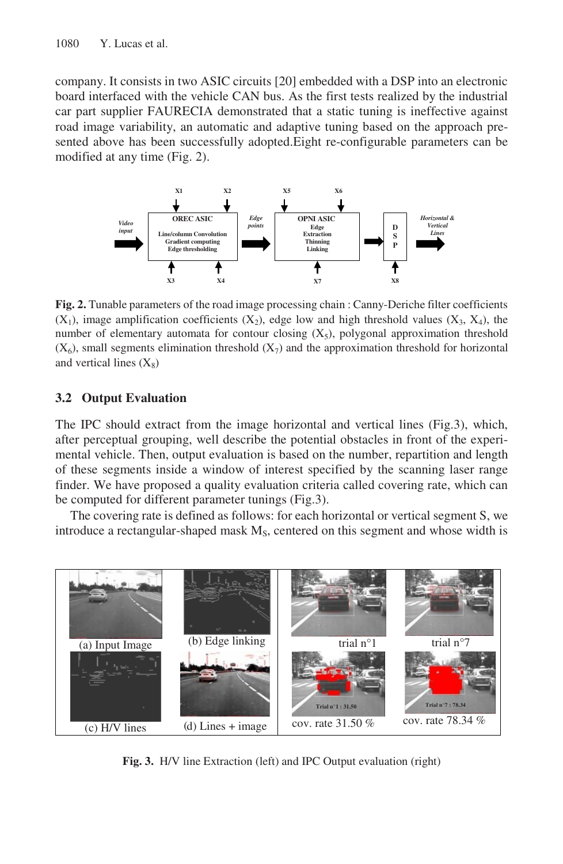company. It consists in two ASIC circuits [20] embedded with a DSP into an electronic board interfaced with the vehicle CAN bus. As the first tests realized by the industrial car part supplier FAURECIA demonstrated that a static tuning is ineffective against road image variability, an automatic and adaptive tuning based on the approach presented above has been successfully adopted.Eight re-configurable parameters can be modified at any time (Fig. 2).



**Fig. 2.** Tunable parameters of the road image processing chain : Canny-Deriche filter coefficients  $(X_1)$ , image amplification coefficients  $(X_2)$ , edge low and high threshold values  $(X_3, X_4)$ , the number of elementary automata for contour closing  $(X_5)$ , polygonal approximation threshold  $(X<sub>6</sub>)$ , small segments elimination threshold  $(X<sub>7</sub>)$  and the approximation threshold for horizontal and vertical lines  $(X_8)$ 

#### **3.2 Output Evaluation**

The IPC should extract from the image horizontal and vertical lines (Fig.3), which, after perceptual grouping, well describe the potential obstacles in front of the experimental vehicle. Then, output evaluation is based on the number, repartition and length of these segments inside a window of interest specified by the scanning laser range finder. We have proposed a quality evaluation criteria called covering rate, which can be computed for different parameter tunings (Fig.3).

The covering rate is defined as follows: for each horizontal or vertical segment S, we introduce a rectangular-shaped mask  $M_s$ , centered on this segment and whose width is



**Fig. 3.** H/V line Extraction (left) and IPC Output evaluation (right)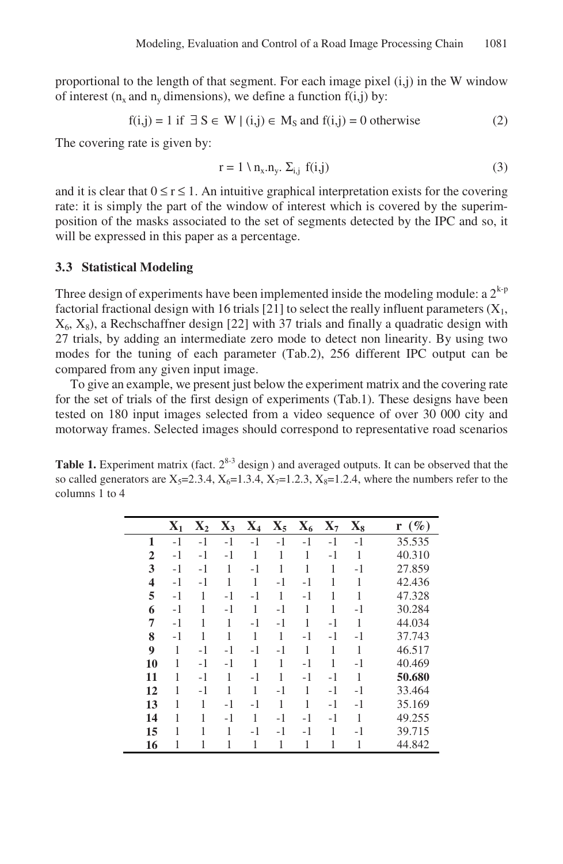proportional to the length of that segment. For each image pixel  $(i,j)$  in the W window of interest ( $n_x$  and  $n_y$  dimensions), we define a function  $f(i,j)$  by:

$$
f(i,j) = 1 \text{ if } \exists S \in W \mid (i,j) \in M_S \text{ and } f(i,j) = 0 \text{ otherwise}
$$
 (2)

The covering rate is given by:

$$
\mathbf{r} = 1 \setminus \mathbf{n}_{\mathbf{x}}.\mathbf{n}_{\mathbf{y}}.\ \Sigma_{\mathbf{i},\mathbf{j}}\ \mathbf{f}(\mathbf{i},\mathbf{j})\tag{3}
$$

and it is clear that  $0 \le r \le 1$ . An intuitive graphical interpretation exists for the covering rate: it is simply the part of the window of interest which is covered by the superimposition of the masks associated to the set of segments detected by the IPC and so, it will be expressed in this paper as a percentage.

#### **3. Statistical Modeling 3**

Three design of experiments have been implemented inside the modeling module: a  $2^{k-p}$ factorial fractional design with 16 trials [21] to select the really influent parameters  $(X_1,$  $X_6, X_8$ , a Rechschaffner design [22] with 37 trials and finally a quadratic design with 27 trials, by adding an intermediate zero mode to detect non linearity. By using two modes for the tuning of each parameter (Tab.2), 256 different IPC output can be compared from any given input image.

To give an example, we present just below the experiment matrix and the covering rate for the set of trials of the first design of experiments (Tab.1). These designs have been tested on 180 input images selected from a video sequence of over 30 000 city and motorway frames. Selected images should correspond to representative road scenarios

**Table 1.** Experiment matrix (fact.  $2^{8-3}$  design) and averaged outputs. It can be observed that the so called generators are  $X_5=2.3.4$ ,  $X_6=1.3.4$ ,  $X_7=1.2.3$ ,  $X_8=1.2.4$ , where the numbers refer to the columns 1 to 4

|                | $X_1$ | $\mathbf{X}_2$ | $X_3$ | $X_4$ | $\mathbf{X}_5$ | $X_6$ | $\mathbf{X}_7$ | $\mathbf{X_{8}}$ | $r(\%)$ |
|----------------|-------|----------------|-------|-------|----------------|-------|----------------|------------------|---------|
| 1              | $-1$  | $-1$           | $-1$  | $-1$  | $-1$           | $-1$  | $-1$           | $-1$             | 35.535  |
| $\overline{2}$ | $-1$  | $-1$           | $-1$  | 1     | 1              | 1     | $-1$           | 1                | 40.310  |
| 3              | $-1$  | $-1$           | 1     | $-1$  | 1              | 1     | 1              | $-1$             | 27.859  |
| 4              | $-1$  | $-1$           | 1     | 1     | $-1$           | $-1$  | 1              | 1                | 42.436  |
| 5              | $-1$  | 1              | $-1$  | -1    | 1              | $-1$  | 1              | 1                | 47.328  |
| 6              | -1    | 1              | $-1$  | 1     | $-1$           | 1     | 1              | $-1$             | 30.284  |
| 7              | $-1$  | 1              | 1     | -1    | $-1$           | 1     | $-1$           | 1                | 44.034  |
| 8              | -1    | 1              | 1     | 1     | 1              | $-1$  | $-1$           | $-1$             | 37.743  |
| 9              | 1     | $-1$           | $-1$  | $-1$  | $-1$           | 1     | 1              | 1                | 46.517  |
| 10             | 1     | $-1$           | $-1$  | 1     | 1              | $-1$  | 1              | $-1$             | 40.469  |
| 11             | 1     | $-1$           | 1     | $-1$  | 1              | $-1$  | $-1$           | 1                | 50.680  |
| 12             | 1     | -1             | 1     | 1     | $-1$           | 1     | $-1$           | $-1$             | 33.464  |
| 13             | 1     | 1              | $-1$  | -1    | 1              | 1     | $-1$           | $-1$             | 35.169  |
| 14             | 1     | 1              | -1    | 1     | $-1$           | $-1$  | $-1$           | 1                | 49.255  |
| 15             | 1     | 1              | 1     | -1    | $-1$           | $-1$  | 1              | $-1$             | 39.715  |
| 16             | 1     | 1              | 1     | 1     | 1              | 1     | 1              | 1                | 44.842  |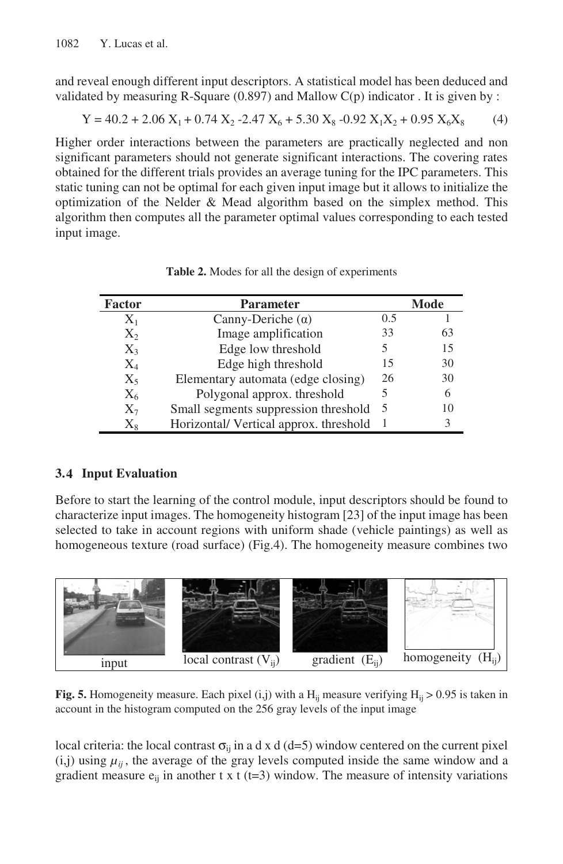and reveal enough different input descriptors. A statistical model has been deduced and validated by measuring R-Square  $(0.897)$  and Mallow C(p) indicator . It is given by :

$$
Y = 40.2 + 2.06 X_1 + 0.74 X_2 - 2.47 X_6 + 5.30 X_8 - 0.92 X_1 X_2 + 0.95 X_6 X_8
$$
 (4)

Higher order interactions between the parameters are practically neglected and non significant parameters should not generate significant interactions. The covering rates obtained for the different trials provides an average tuning for the IPC parameters. This static tuning can not be optimal for each given input image but it allows to initialize the optimization of the Nelder & Mead algorithm based on the simplex method. This algorithm then computes all the parameter optimal values corresponding to each tested input image.

| <b>Factor</b> | <b>Parameter</b>                       |     | Mode |
|---------------|----------------------------------------|-----|------|
| $X_1$         | Canny-Deriche $(\alpha)$               | 0.5 |      |
| $X_2$         | Image amplification                    | 33  | 63   |
| $X_3$         | Edge low threshold                     | 5   | 15   |
| $\rm X_4$     | Edge high threshold                    | 15  | 30   |
| $X_5$         | Elementary automata (edge closing)     | 26  | 30   |
| $X_6$         | Polygonal approx. threshold            |     | 6    |
| $X_7$         | Small segments suppression threshold   | -5  | 10   |
| $\rm X_{8}$   | Horizontal/ Vertical approx. threshold |     |      |

**Table 2.** Modes for all the design of experiments

#### **3. Input Evaluation 4**

Before to start the learning of the control module, input descriptors should be found to characterize input images. The homogeneity histogram [23] of the input image has been selected to take in account regions with uniform shade (vehicle paintings) as well as homogeneous texture (road surface) (Fig.4). The homogeneity measure combines two



**Fig. 5.** Homogeneity measure. Each pixel (i,j) with a  $H_{ii}$  measure verifying  $H_{ii} > 0.95$  is taken in account in the histogram computed on the 256 gray levels of the input image

local criteria: the local contrast  $\sigma_{ij}$  in a d x d (d=5) window centered on the current pixel  $(i,j)$  using  $\mu_{ii}$ , the average of the gray levels computed inside the same window and a gradient measure  $e_{ij}$  in another t x t (t=3) window. The measure of intensity variations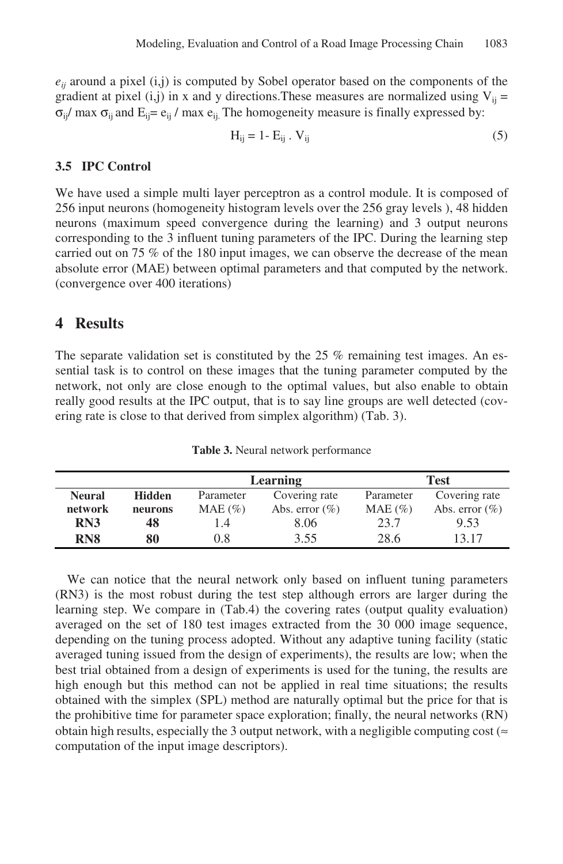$e_{ii}$  around a pixel (i,j) is computed by Sobel operator based on the components of the gradient at pixel (i,j) in x and y directions. These measures are normalized using  $V_{ii}$  =  $\sigma_{ii}$ / max  $\sigma_{ii}$  and  $E_{ii} = e_{ii}$  / max  $e_{ii}$ . The homogeneity measure is finally expressed by:

$$
H_{ij} = 1 - E_{ij} \cdot V_{ij} \tag{5}
$$

#### 3.5 **IPC Control**

We have used a simple multi layer perceptron as a control module. It is composed of 256 input neurons (homogeneity histogram levels over the 256 gray levels ), 48 hidden neurons (maximum speed convergence during the learning) and 3 output neurons corresponding to the 3 influent tuning parameters of the IPC. During the learning step carried out on 75 % of the 180 input images, we can observe the decrease of the mean absolute error (MAE) between optimal parameters and that computed by the network. (convergence over 400 iterations)

# **4 Results**

The separate validation set is constituted by the 25 % remaining test images. An essential task is to control on these images that the tuning parameter computed by the network, not only are close enough to the optimal values, but also enable to obtain really good results at the IPC output, that is to say line groups are well detected (covering rate is close to that derived from simplex algorithm) (Tab. 3).

|                                |         |            | <b>Learning</b>   | <b>Test</b> |                   |  |  |
|--------------------------------|---------|------------|-------------------|-------------|-------------------|--|--|
| <b>Neural</b><br><b>Hidden</b> |         | Parameter  | Covering rate     | Parameter   | Covering rate     |  |  |
| network                        | neurons | $MAE (\%)$ | Abs. error $(\%)$ | $MAE (\%)$  | Abs. error $(\%)$ |  |  |
| RN3                            | 48      | $\cdot$ 4  | 8.06              | 23.7        | 9.53              |  |  |
| RN <sub>8</sub>                | 80      | $0.8\,$    | 3.55              | 28.6        | 13 17             |  |  |

**Table 3.** Neural network performance

We can notice that the neural network only based on influent tuning parameters (RN3) is the most robust during the test step although errors are larger during the learning step. We compare in (Tab.4) the covering rates (output quality evaluation) averaged on the set of 180 test images extracted from the 30 000 image sequence, depending on the tuning process adopted. Without any adaptive tuning facility (static averaged tuning issued from the design of experiments), the results are low; when the best trial obtained from a design of experiments is used for the tuning, the results are high enough but this method can not be applied in real time situations; the results obtained with the simplex (SPL) method are naturally optimal but the price for that is the prohibitive time for parameter space exploration; finally, the neural networks (RN) obtain high results, especially the 3 output network, with a negligible computing cost ( $\approx$ computation of the input image descriptors).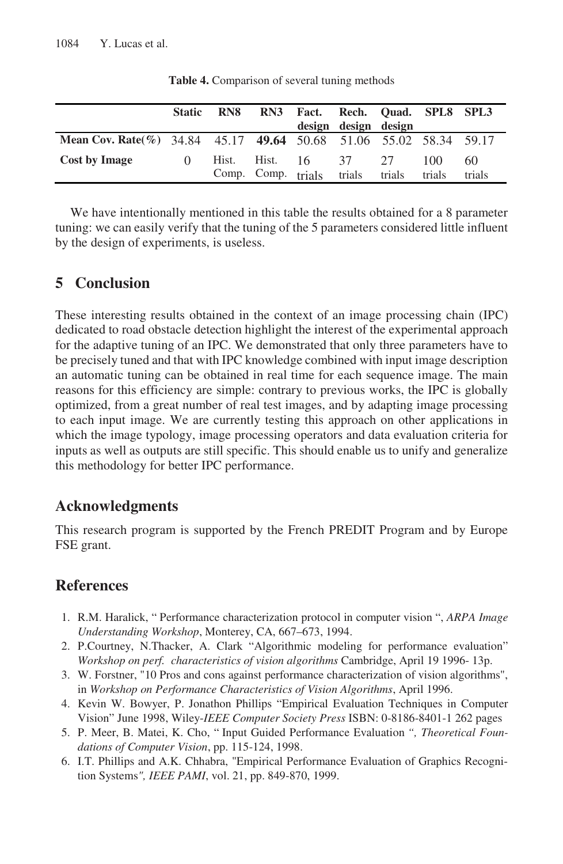|                                                                   | <b>Static</b> | RN8                |                | RN3 Fact. Rech. Quad. SPL8 SPL3 | design design design |              |                |              |
|-------------------------------------------------------------------|---------------|--------------------|----------------|---------------------------------|----------------------|--------------|----------------|--------------|
| Mean Cov. Rate(%) 34.84 45.17 49.64 50.68 51.06 55.02 58.34 59.17 |               |                    |                |                                 |                      |              |                |              |
| <b>Cost by Image</b>                                              | $\Omega$      | Comp. Comp. trials | Hist. Hist. 16 |                                 | 37<br>trials         | 27<br>trials | 100.<br>trials | 60<br>trials |

**Table 4.** Comparison of several tuning methods

We have intentionally mentioned in this table the results obtained for a 8 parameter tuning: we can easily verify that the tuning of the 5 parameters considered little influent by the design of experiments, is useless.

# **5 Conclusion**

These interesting results obtained in the context of an image processing chain (IPC) dedicated to road obstacle detection highlight the interest of the experimental approach for the adaptive tuning of an IPC. We demonstrated that only three parameters have to be precisely tuned and that with IPC knowledge combined with input image description an automatic tuning can be obtained in real time for each sequence image. The main reasons for this efficiency are simple: contrary to previous works, the IPC is globally optimized, from a great number of real test images, and by adapting image processing to each input image. We are currently testing this approach on other applications in which the image typology, image processing operators and data evaluation criteria for inputs as well as outputs are still specific. This should enable us to unify and generalize this methodology for better IPC performance.

### **Acknowledgments**

This research program is supported by the French PREDIT Program and by Europe FSE grant.

### **References**

- 1. R.M. Haralick, " Performance characterization protocol in computer vision ", *ARPA Image Understanding Workshop*, Monterey, CA, 667–673, 1994.
- 2. P.Courtney, N.Thacker, A. Clark "Algorithmic modeling for performance evaluation" *Workshop on perf. characteristics of vision algorithms* Cambridge, April 19 1996- 13p.
- 3. W. Forstner, "10 Pros and cons against performance characterization of vision algorithms", in *Workshop on Performance Characteristics of Vision Algorithms*, April 1996.
- 4. Kevin W. Bowyer, P. Jonathon Phillips "Empirical Evaluation Techniques in Computer Vision" June 1998, Wiley-*IEEE Computer Society Press* ISBN: 0-8186-8401-1 262 pages
- 5. P. Meer, B. Matei, K. Cho, " Input Guided Performance Evaluation *", Theoretical Foundations of Computer Vision*, pp. 115-124, 1998.
- 6. I.T. Phillips and A.K. Chhabra, "Empirical Performance Evaluation of Graphics Recognition Systems*", IEEE PAMI*, vol. 21, pp. 849-870, 1999.